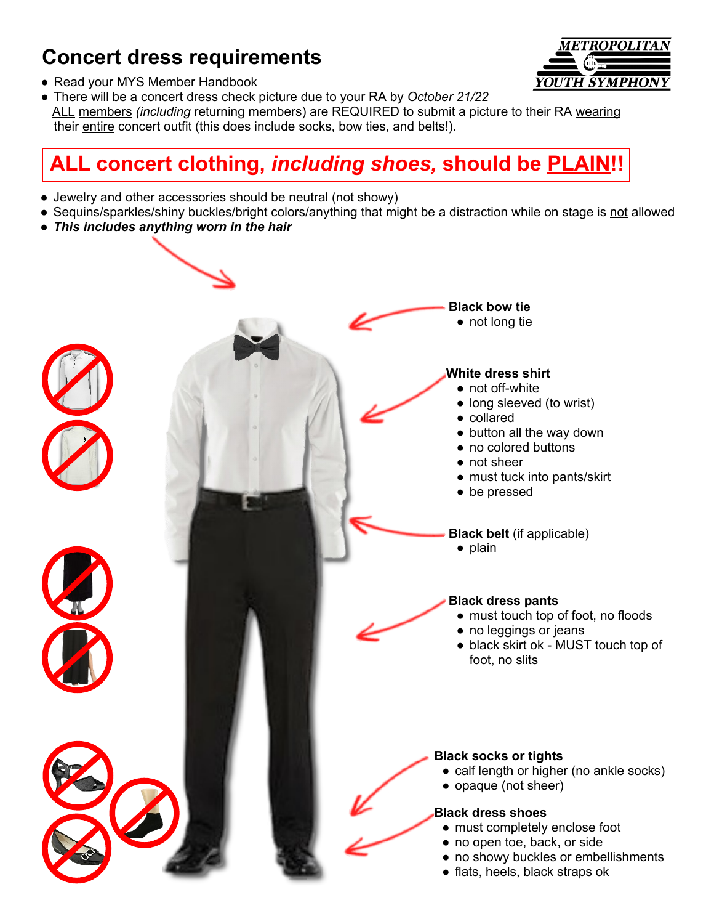## **Concert dress requirements**

• Read your MYS Member Handbook



## **ALL concert clothing,** *including shoes,* **should be PLAIN!!**

- Jewelry and other accessories should be neutral (not showy)
- Sequins/sparkles/shiny buckles/bright colors/anything that might be a distraction while on stage is not allowed
- *● This includes anything worn in the hair*